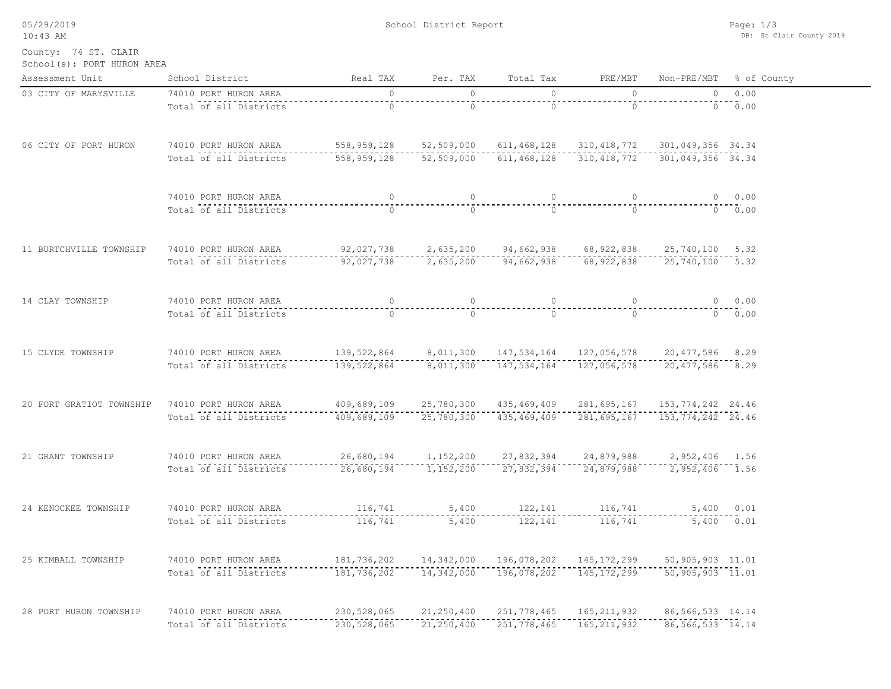| 05/29/2019<br>$10:43$ AM                           | School District Report                          |                                                                             |                              |                              |                                                   | Page: $1/3$<br>DB: St Clair County 2019    |                         |  |
|----------------------------------------------------|-------------------------------------------------|-----------------------------------------------------------------------------|------------------------------|------------------------------|---------------------------------------------------|--------------------------------------------|-------------------------|--|
| County: 74 ST. CLAIR<br>School(s): PORT HURON AREA |                                                 |                                                                             |                              |                              |                                                   |                                            |                         |  |
| Assessment Unit                                    | School District                                 | Real TAX                                                                    | Per. TAX                     | Total Tax                    | PRE/MBT                                           |                                            | Non-PRE/MBT % of County |  |
| 03 CITY OF MARYSVILLE                              | 74010 PORT HURON AREA                           | $\circ$                                                                     | $\circ$                      | $\circ$                      | $\circ$                                           | $\overline{0}$                             | 0.00                    |  |
|                                                    | Total of all Districts                          | $--- 0 - 1 - 0 - 0 = 0 - 0$                                                 | $\circ$                      | $\circ$                      | $\Omega$                                          |                                            | 0.00                    |  |
| 06 CITY OF PORT HURON                              | 74010 PORT HURON AREA                           |                                                                             |                              |                              | 558,959,128  52,509,000  611,468,128  310,418,772 | 301,049,356 34.34                          |                         |  |
|                                                    | Total of all Districts                          | $-558,959,128$                                                              |                              |                              |                                                   |                                            |                         |  |
|                                                    | 74010 PORT HURON AREA                           | $\circ$                                                                     | $\overline{0}$               | $\circ$                      | $\overline{0}$                                    |                                            | 0 0.00                  |  |
|                                                    | Total of all Districts                          | $\Omega$                                                                    | $\Omega$                     | $\bigcirc$                   | $\Omega$                                          |                                            | $0 \t 0.00$             |  |
| 11 BURTCHVILLE TOWNSHIP                            | 74010 PORT HURON AREA                           | 92,027,738  2,635,200  94,662,938  68,922,838  25,740,100  5.32             |                              |                              |                                                   |                                            |                         |  |
|                                                    | Total of all Districts                          | 92,027,738                                                                  | 2,635,200                    |                              | 94,662,938 68,922,838 25,740,100 5.32             |                                            |                         |  |
| 14 CLAY TOWNSHIP                                   | 74010 PORT HURON AREA                           | $\circ$                                                                     |                              |                              |                                                   |                                            | 0 0.00                  |  |
|                                                    | Total of all Districts                          | $\bigcap$                                                                   | $\cap$                       | $\bigcirc$                   | $\Omega$                                          |                                            | $0 \t 0.00$             |  |
| 15 CLYDE TOWNSHIP                                  | 74010 PORT HURON AREA                           | 139,522,864 8,011,300 147,534,164 127,056,578 20,477,586 8.29               |                              |                              |                                                   |                                            |                         |  |
|                                                    | Total of all Districts                          |                                                                             |                              |                              | 127,056,578                                       | 20,477,586 8.29                            |                         |  |
| 20 FORT GRATIOT TOWNSHIP                           | 74010 PORT HURON AREA                           | $409,689,109$ 25, 780, 300 435, 469, 409 281, 695, 167 153, 774, 242 24. 46 |                              |                              |                                                   |                                            |                         |  |
|                                                    | Total of all Districts                          | 409,689,109                                                                 |                              | $25,780,300$ 435,469,409     |                                                   | 281,695,167 153,774,242 24.46              |                         |  |
| 21 GRANT TOWNSHIP                                  | 74010 PORT HURON AREA                           |                                                                             | 26,680,194 1,152,200         | 27,832,394                   | 24,879,988                                        | 2,952,406 1.56                             |                         |  |
|                                                    | Total of all Districts                          | 26,680,194                                                                  |                              | 1, 152, 200 27, 832, 394     | 24,879,988                                        | 2,952,406 1.56                             |                         |  |
| 24 KENOCKEE TOWNSHIP                               | 74010 PORT HURON AREA                           | 116,741                                                                     | 5,400                        | 122,141                      | 116,741                                           | 5,400 0.01                                 |                         |  |
|                                                    | Total of all Districts                          | 116,741                                                                     |                              | $5,400$ 122,141              |                                                   | 116,741 5,400 0.01                         |                         |  |
| 25 KIMBALL TOWNSHIP                                | 74010 PORT HURON AREA                           | 181, 736, 202                                                               |                              |                              | 14,342,000  196,078,202  145,172,299              | 50,905,903 11.01                           |                         |  |
|                                                    | Total of all Districts                          | 181,736,202                                                                 |                              | $14,342,000$ $196,078,202$   | ----------------<br>145,172,299                   | $50, 905, 903$ 11.01                       |                         |  |
| 28 PORT HURON TOWNSHIP                             | 74010 PORT HURON AREA<br>Total of all Districts | 230,528,065<br>230,528,065                                                  | 21, 250, 400<br>21, 250, 400 | 251,778,465<br>251, 778, 465 | 165, 211, 932<br>165, 211, 932                    | 86, 566, 533 14.14<br>$86, 566, 533$ 14.14 |                         |  |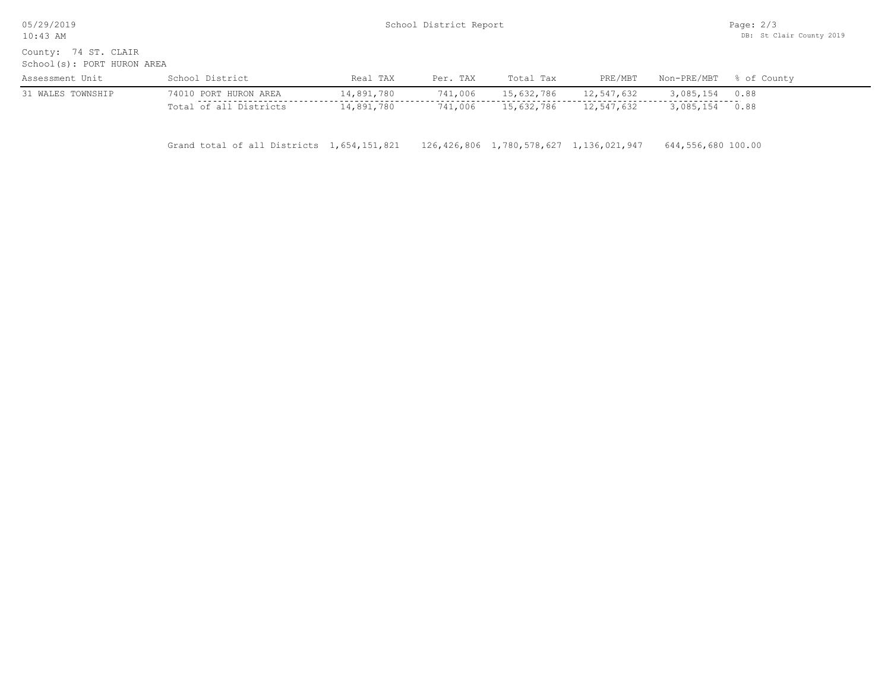| 05/29/2019<br>$10:43$ AM                              | School District Report |            |          |            |            |             |             |
|-------------------------------------------------------|------------------------|------------|----------|------------|------------|-------------|-------------|
| 74 ST. CLAIR<br>County:<br>School(s): PORT HURON AREA |                        |            |          |            |            |             |             |
| Assessment Unit                                       | School District        | Real TAX   | Per. TAX | Total Tax  | PRE/MBT    | Non-PRE/MBT | % of County |
| 31 WALES TOWNSHIP                                     | 74010 PORT HURON AREA  | 14,891,780 | 741,006  | 15,632,786 | 12,547,632 | 3,085,154   | 0.88        |
|                                                       | Total of all Districts | 14,891,780 | 741,006  | 15,632,786 | 12,547,632 | 3,085,154   | 0.88        |

Grand total of all Districts 1,654,151,821 126,426,806 1,780,578,627 1,136,021,947 644,556,680 100.00